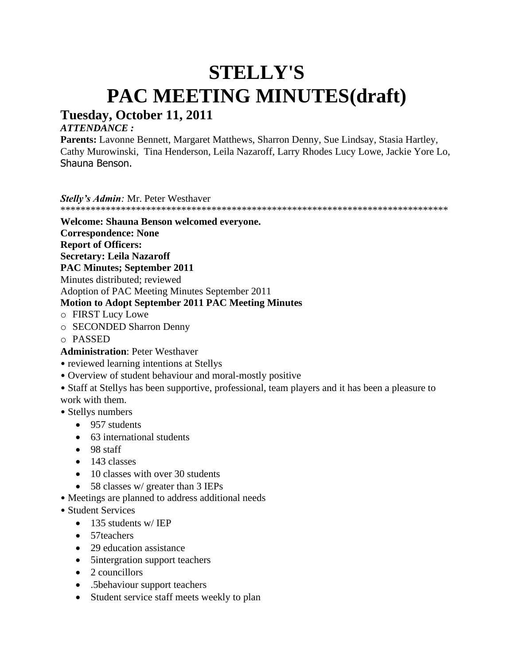# **STELLY'S PAC MEETING MINUTES(draft)**

# **Tuesday, October 11, 2011**

# *ATTENDANCE :*

**Parents:** Lavonne Bennett, Margaret Matthews, Sharron Denny, Sue Lindsay, Stasia Hartley, Cathy Murowinski, Tina Henderson, Leila Nazaroff, Larry Rhodes Lucy Lowe, Jackie Yore Lo, Shauna Benson.

*Stelly's Admin:* Mr. Peter Westhaver

\*\*\*\*\*\*\*\*\*\*\*\*\*\*\*\*\*\*\*\*\*\*\*\*\*\*\*\*\*\*\*\*\*\*\*\*\*\*\*\*\*\*\*\*\*\*\*\*\*\*\*\*\*\*\*\*\*\*\*\*\*\*\*\*\*\*\*\*\*\*\*\*\*\*\*\*\*

# **Welcome: Shauna Benson welcomed everyone.**

**Correspondence: None**

**Report of Officers:**

**Secretary: Leila Nazaroff**

**PAC Minutes; September 2011**

Minutes distributed; reviewed

Adoption of PAC Meeting Minutes September 2011

# **Motion to Adopt September 2011 PAC Meeting Minutes**

- o FIRST Lucy Lowe
- o SECONDED Sharron Denny
- o PASSED

**Administration**: Peter Westhaver

- reviewed learning intentions at Stellys
- Overview of student behaviour and moral-mostly positive

• Staff at Stellys has been supportive, professional, team players and it has been a pleasure to work with them.

- Stellys numbers
	- 957 students
	- 63 international students
	- 98 staff
	- 143 classes
	- 10 classes with over 30 students
	- 58 classes w/ greater than 3 IEPs
- Meetings are planned to address additional needs
- Student Services
	- 135 students w/ IEP
	- 57teachers
	- 29 education assistance
	- 5intergration support teachers
	- 2 councillors
	- .5behaviour support teachers
	- Student service staff meets weekly to plan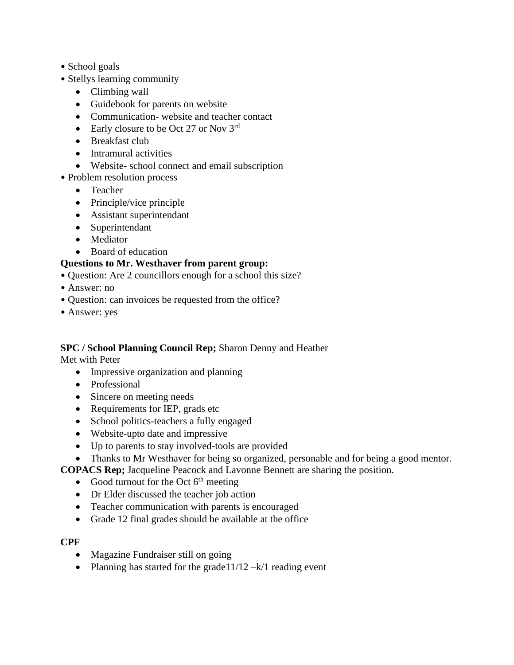- School goals
- Stellys learning community
	- Climbing wall
	- Guidebook for parents on website
	- Communication- website and teacher contact
	- Early closure to be Oct 27 or Nov  $3^{\text{rd}}$
	- Breakfast club
	- Intramural activities
	- Website- school connect and email subscription
- Problem resolution process
	- Teacher
	- Principle/vice principle
	- Assistant superintendant
	- Superintendant
	- Mediator
	- Board of education

### **Questions to Mr. Westhaver from parent group:**

- Question: Are 2 councillors enough for a school this size?
- Answer: no
- Question: can invoices be requested from the office?
- Answer: yes

### **SPC / School Planning Council Rep;** Sharon Denny and Heather

Met with Peter

- Impressive organization and planning
- Professional
- Sincere on meeting needs
- Requirements for IEP, grads etc
- School politics-teachers a fully engaged
- Website-upto date and impressive
- Up to parents to stay involved-tools are provided
- Thanks to Mr Westhaver for being so organized, personable and for being a good mentor.

**COPACS Rep;** Jacqueline Peacock and Lavonne Bennett are sharing the position.

- Good turnout for the Oct  $6<sup>th</sup>$  meeting
- Dr Elder discussed the teacher job action
- Teacher communication with parents is encouraged
- Grade 12 final grades should be available at the office

### **CPF**

- Magazine Fundraiser still on going
- Planning has started for the grade  $1/12 k/1$  reading event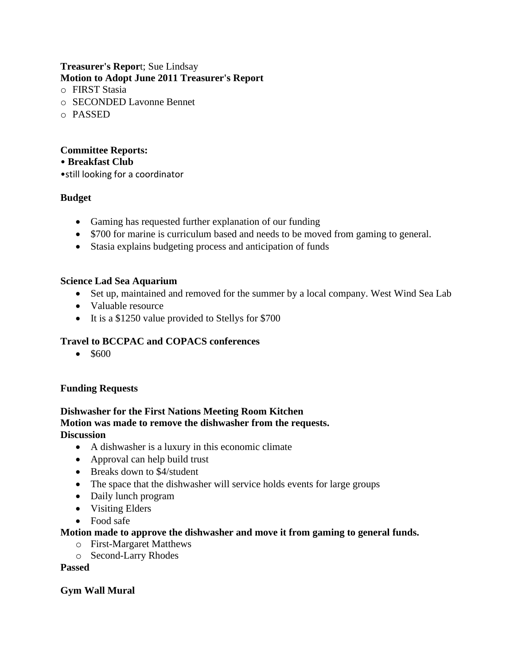### **Treasurer's Repor**t; Sue Lindsay **Motion to Adopt June 2011 Treasurer's Report**

- o FIRST Stasia
- o SECONDED Lavonne Bennet
- o PASSED

# **Committee Reports:**

- **Breakfast Club**
- •still looking for a coordinator

# **Budget**

- Gaming has requested further explanation of our funding
- \$700 for marine is curriculum based and needs to be moved from gaming to general.
- Stasia explains budgeting process and anticipation of funds

# **Science Lad Sea Aquarium**

- Set up, maintained and removed for the summer by a local company. West Wind Sea Lab
- Valuable resource
- It is a \$1250 value provided to Stellys for \$700

# **Travel to BCCPAC and COPACS conferences**

• \$600

# **Funding Requests**

# **Dishwasher for the First Nations Meeting Room Kitchen Motion was made to remove the dishwasher from the requests. Discussion**

- A dishwasher is a luxury in this economic climate
- Approval can help build trust
- Breaks down to \$4/student
- The space that the dishwasher will service holds events for large groups
- Daily lunch program
- Visiting Elders
- Food safe

# **Motion made to approve the dishwasher and move it from gaming to general funds.**

- o First-Margaret Matthews
- o Second-Larry Rhodes

### **Passed**

# **Gym Wall Mural**